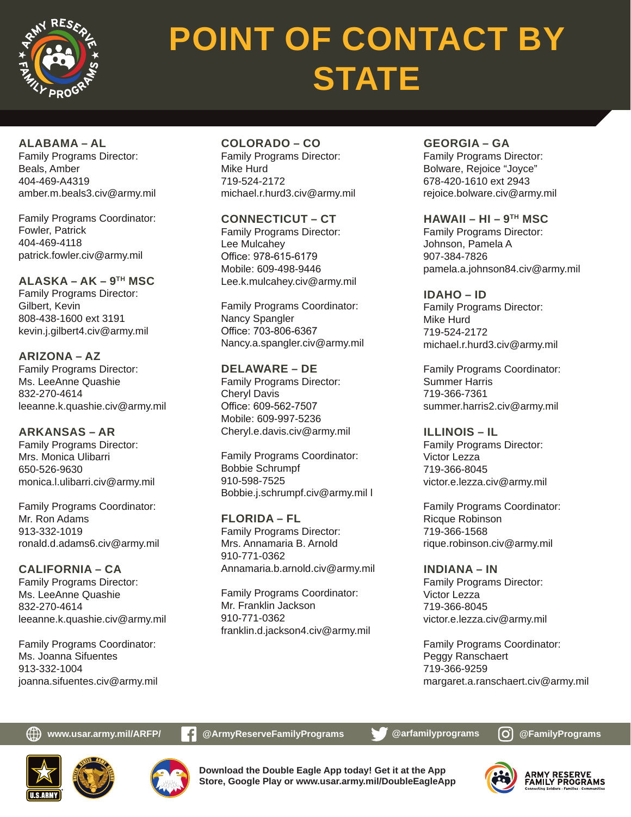

# **POINT OF CONTACT BY STATE**

**ALABAMA – AL**

Family Programs Director: Beals, Amber 404-469-A4319 amber.m.beals3.civ@army.mil

Family Programs Coordinator: Fowler, Patrick 404-469-4118 patrick.fowler.civ@army.mil

**ALASKA – AK – 9TH MSC** Family Programs Director: Gilbert, Kevin 808-438-1600 ext 3191 kevin.j.gilbert4.civ@army.mil

**ARIZONA – AZ** Family Programs Director: Ms. LeeAnne Quashie 832-270-4614 leeanne.k.quashie.civ@army.mil

**ARKANSAS – AR** Family Programs Director: Mrs. Monica Ulibarri 650-526-9630 monica.l.ulibarri.civ@army.mil

Family Programs Coordinator: Mr. Ron Adams 913-332-1019 ronald.d.adams6.civ@army.mil

**CALIFORNIA – CA** Family Programs Director: Ms. LeeAnne Quashie 832-270-4614 leeanne.k.quashie.civ@army.mil

Family Programs Coordinator: Ms. Joanna Sifuentes 913-332-1004 joanna.sifuentes.civ@army.mil **COLORADO – CO** Family Programs Director: Mike Hurd 719-524-2172 michael.r.hurd3.civ@army.mil

**CONNECTICUT – CT** Family Programs Director: Lee Mulcahey Office: 978-615-6179 Mobile: 609-498-9446 Lee.k.mulcahey.civ@army.mil

Family Programs Coordinator: Nancy Spangler Office: 703-806-6367 Nancy.a.spangler.civ@army.mil

**DELAWARE – DE** Family Programs Director: Cheryl Davis Office: 609-562-7507 Mobile: 609-997-5236 Cheryl.e.davis.civ@army.mil

Family Programs Coordinator: Bobbie Schrumpf 910-598-7525 Bobbie.j.schrumpf.civ@army.mil l

**FLORIDA – FL** Family Programs Director: Mrs. Annamaria B. Arnold 910-771-0362 Annamaria.b.arnold.civ@army.mil

Family Programs Coordinator: Mr. Franklin Jackson 910-771-0362 franklin.d.jackson4.civ@army.mil **GEORGIA – GA** Family Programs Director: Bolware, Rejoice "Joyce" 678-420-1610 ext 2943 rejoice.bolware.civ@army.mil

**HAWAII – HI – 9TH MSC** Family Programs Director: Johnson, Pamela A 907-384-7826 pamela.a.johnson84.civ@army.mil

**IDAHO – ID** Family Programs Director: Mike Hurd 719-524-2172 michael.r.hurd3.civ@army.mil

Family Programs Coordinator: Summer Harris 719-366-7361 summer.harris2.civ@army.mil

**ILLINOIS – IL** Family Programs Director: Victor Lezza 719-366-8045 victor.e.lezza.civ@army.mil

Family Programs Coordinator: Ricque Robinson 719-366-1568 rique.robinson.civ@army.mil

**INDIANA – IN** Family Programs Director: Victor Lezza 719-366-8045 victor.e.lezza.civ@army.mil

Family Programs Coordinator: Peggy Ranschaert 719-366-9259 margaret.a.ranschaert.civ@army.mil

**www.usar.army.mil/ARFP/ C** @ArmyReserveFamilyPrograms **@** @arfamilyprograms  $\bigcirc$  @FamilyPrograms





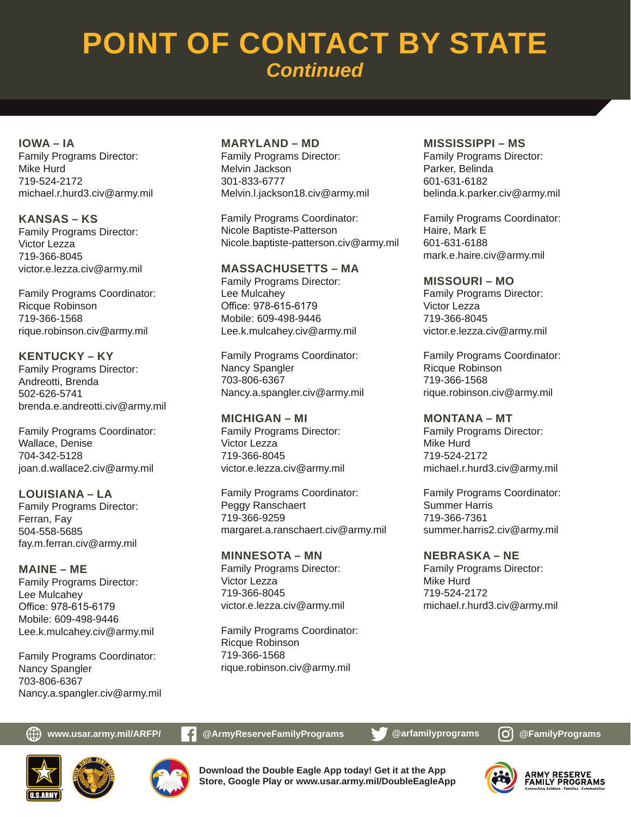**IOWA – IA** Family Programs Director: Mike Hurd 719-524-2172 michael.r.hurd3.civ@army.mil

**KANSAS – KS** Family Programs Director: Victor Lezza 719-366-8045 victor.e.lezza.civ@army.mil

Family Programs Coordinator: Ricque Robinson 719-366-1568 rique.robinson.civ@army.mil

**KENTUCKY – KY** Family Programs Director: Andreotti, Brenda 502-626-5741 brenda.e.andreotti.civ@army.mil

Family Programs Coordinator: Wallace, Denise 704-342-5128 joan.d.wallace2.civ@army.mil

**LOUISIANA – LA** Family Programs Director: Ferran, Fay 504-558-5685 fay.m.ferran.civ@army.mil

**MAINE – ME** Family Programs Director: Lee Mulcahey Office: 978-615-6179 Mobile: 609-498-9446 Lee.k.mulcahey.civ@army.mil

Family Programs Coordinator: Nancy Spangler 703-806-6367 Nancy.a.spangler.civ@army.mil

#### **MARYLAND – MD**

Family Programs Director: Melvin Jackson 301-833-6777 Melvin.l.jackson18.civ@army.mil

Family Programs Coordinator: Nicole Baptiste-Patterson Nicole.baptiste-patterson.civ@army.mil

#### **MASSACHUSETTS – MA**

Family Programs Director: Lee Mulcahey Office: 978-615-6179 Mobile: 609-498-9446 Lee.k.mulcahey.civ@army.mil

Family Programs Coordinator: Nancy Spangler 703-806-6367 Nancy.a.spangler.civ@army.mil

**MICHIGAN – MI** Family Programs Director: Victor Lezza 719-366-8045 victor.e.lezza.civ@army.mil

Family Programs Coordinator: Peggy Ranschaert 719-366-9259 margaret.a.ranschaert.civ@army.mil

**MINNESOTA – MN** Family Programs Director: Victor Lezza 719-366-8045 victor.e.lezza.civ@army.mil

Family Programs Coordinator: Ricque Robinson 719-366-1568 rique.robinson.civ@army.mil

#### **MISSISSIPPI – MS**

Family Programs Director: Parker, Belinda 601-631-6182 belinda.k.parker.civ@army.mil

Family Programs Coordinator: Haire, Mark E 601-631-6188 mark.e.haire.civ@army.mil

**MISSOURI – MO** Family Programs Director: Victor Lezza 719-366-8045 victor.e.lezza.civ@army.mil

Family Programs Coordinator: Ricque Robinson 719-366-1568 rique.robinson.civ@army.mil

#### **MONTANA – MT**

Family Programs Director: Mike Hurd 719-524-2172 michael.r.hurd3.civ@army.mil

Family Programs Coordinator: Summer Harris 719-366-7361 summer.harris2.civ@army.mil

#### **NEBRASKA – NE**

Family Programs Director: Mike Hurd 719-524-2172 michael.r.hurd3.civ@army.mil





**Download the Double Eagle App today! Get it at the App Store, Google Play or www.usar.army.mil/DoubleEagleApp**

**www.usar.army.mil/ARFP/ C** @ArmyReserveFamilyPrograms **@** @arfamilyprograms  $\bigcirc$  @FamilyPrograms



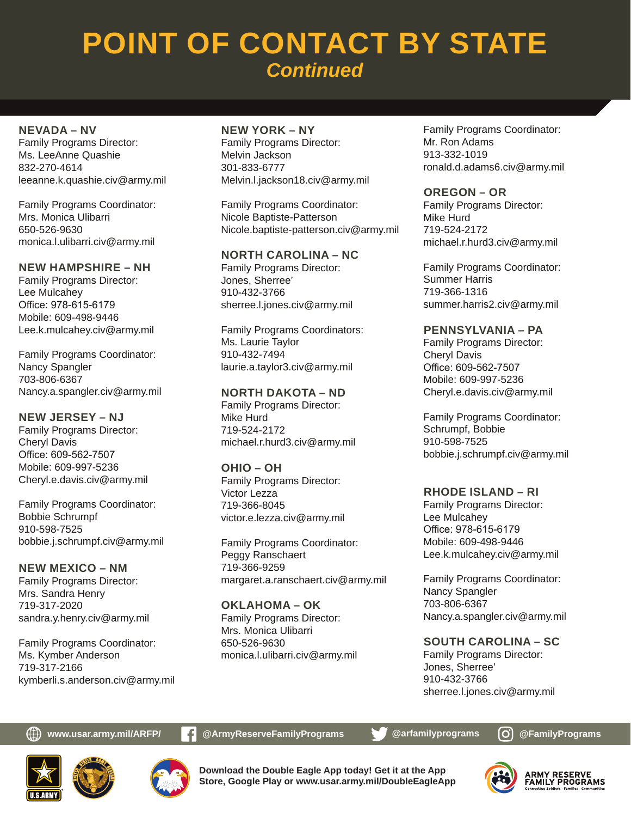#### **NEVADA – NV**

Family Programs Director: Ms. LeeAnne Quashie 832-270-4614 leeanne.k.quashie.civ@army.mil

Family Programs Coordinator: Mrs. Monica Ulibarri 650-526-9630 monica.l.ulibarri.civ@army.mil

#### **NEW HAMPSHIRE – NH**

Family Programs Director: Lee Mulcahey Office: 978-615-6179 Mobile: 609-498-9446 Lee.k.mulcahey.civ@army.mil

Family Programs Coordinator: Nancy Spangler 703-806-6367 Nancy.a.spangler.civ@army.mil

**NEW JERSEY – NJ** Family Programs Director: Cheryl Davis Office: 609-562-7507 Mobile: 609-997-5236 Cheryl.e.davis.civ@army.mil

Family Programs Coordinator: Bobbie Schrumpf 910-598-7525 bobbie.j.schrumpf.civ@army.mil

**NEW MEXICO – NM** Family Programs Director: Mrs. Sandra Henry 719-317-2020 sandra.y.henry.civ@army.mil

Family Programs Coordinator: Ms. Kymber Anderson 719-317-2166 kymberli.s.anderson.civ@army.mil

### **NEW YORK – NY**

Family Programs Director: Melvin Jackson 301-833-6777 Melvin.l.jackson18.civ@army.mil

Family Programs Coordinator: Nicole Baptiste-Patterson Nicole.baptiste-patterson.civ@army.mil

#### **NORTH CAROLINA – NC**

Family Programs Director: Jones, Sherree' 910-432-3766 sherree.l.jones.civ@army.mil

Family Programs Coordinators: Ms. Laurie Taylor 910-432-7494 laurie.a.taylor3.civ@army.mil

#### **NORTH DAKOTA – ND**

Family Programs Director: Mike Hurd 719-524-2172 michael.r.hurd3.civ@army.mil

**OHIO – OH** Family Programs Director: Victor Lezza 719-366-8045 victor.e.lezza.civ@army.mil

Family Programs Coordinator: Peggy Ranschaert 719-366-9259 margaret.a.ranschaert.civ@army.mil

**OKLAHOMA – OK** Family Programs Director: Mrs. Monica Ulibarri 650-526-9630 monica.l.ulibarri.civ@army.mil

Family Programs Coordinator: Mr. Ron Adams 913-332-1019 ronald.d.adams6.civ@army.mil

#### **OREGON – OR**

Family Programs Director: Mike Hurd 719-524-2172 michael.r.hurd3.civ@army.mil

Family Programs Coordinator: Summer Harris 719-366-1316 summer.harris2.civ@army.mil

#### **PENNSYLVANIA – PA**

Family Programs Director: Cheryl Davis Office: 609-562-7507 Mobile: 609-997-5236 Cheryl.e.davis.civ@army.mil

Family Programs Coordinator: Schrumpf, Bobbie 910-598-7525 bobbie.j.schrumpf.civ@army.mil

#### **RHODE ISLAND – RI**

Family Programs Director: Lee Mulcahey Office: 978-615-6179 Mobile: 609-498-9446 Lee.k.mulcahey.civ@army.mil

Family Programs Coordinator: Nancy Spangler 703-806-6367 Nancy.a.spangler.civ@army.mil

**SOUTH CAROLINA – SC** Family Programs Director: Jones, Sherree' 910-432-3766 sherree.l.jones.civ@army.mil

**www.usar.army.mil/ARFP/ C** @ArmyReserveFamilyPrograms **@** @arfamilyprograms **@** @FamilyPrograms





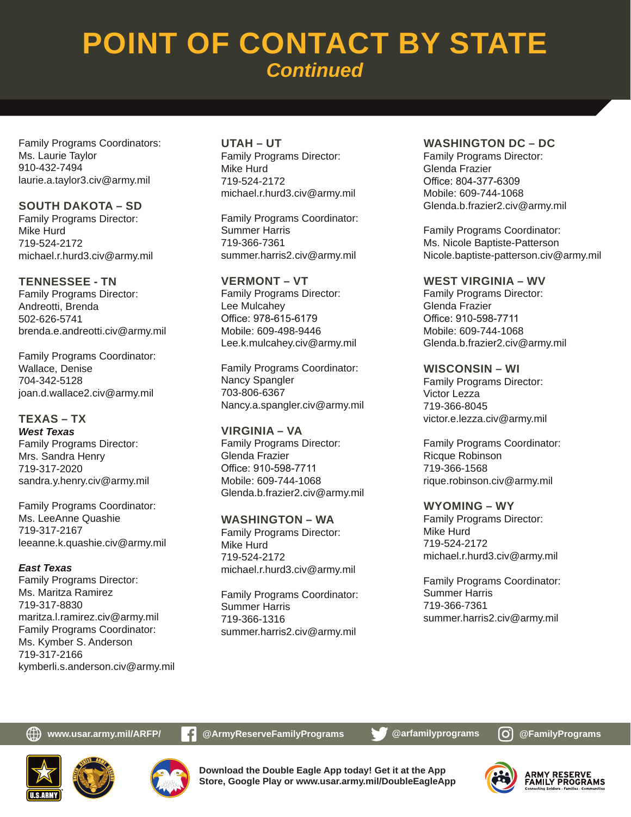Family Programs Coordinators: Ms. Laurie Taylor 910-432-7494 laurie.a.taylor3.civ@army.mil

**SOUTH DAKOTA – SD** Family Programs Director: Mike Hurd 719-524-2172 michael.r.hurd3.civ@army.mil

**TENNESSEE - TN** Family Programs Director: Andreotti, Brenda 502-626-5741 brenda.e.andreotti.civ@army.mil

Family Programs Coordinator: Wallace, Denise 704-342-5128 joan.d.wallace2.civ@army.mil

**TEXAS – TX** *West Texas* Family Programs Director: Mrs. Sandra Henry 719-317-2020 sandra.y.henry.civ@army.mil

Family Programs Coordinator: Ms. LeeAnne Quashie 719-317-2167 leeanne.k.quashie.civ@army.mil

*East Texas* Family Programs Director: Ms. Maritza Ramirez 719-317-8830 maritza.l.ramirez.civ@army.mil Family Programs Coordinator: Ms. Kymber S. Anderson 719-317-2166 kymberli.s.anderson.civ@army.mil **UTAH – UT** Family Programs Director: Mike Hurd 719-524-2172 michael.r.hurd3.civ@army.mil

Family Programs Coordinator: Summer Harris 719-366-7361 summer.harris2.civ@army.mil

**VERMONT – VT** Family Programs Director: Lee Mulcahey Office: 978-615-6179 Mobile: 609-498-9446 Lee.k.mulcahey.civ@army.mil

Family Programs Coordinator: Nancy Spangler 703-806-6367 Nancy.a.spangler.civ@army.mil

**VIRGINIA – VA** Family Programs Director: Glenda Frazier Office: 910-598-7711 Mobile: 609-744-1068 Glenda.b.frazier2.civ@army.mil

**WASHINGTON – WA** Family Programs Director: Mike Hurd 719-524-2172 michael.r.hurd3.civ@army.mil

Family Programs Coordinator: Summer Harris 719-366-1316 summer.harris2.civ@army.mil

#### **WASHINGTON DC – DC**

Family Programs Director: Glenda Frazier Office: 804-377-6309 Mobile: 609-744-1068 Glenda.b.frazier2.civ@army.mil

Family Programs Coordinator: Ms. Nicole Baptiste-Patterson Nicole.baptiste-patterson.civ@army.mil

**WEST VIRGINIA – WV** Family Programs Director: Glenda Frazier Office: 910-598-7711 Mobile: 609-744-1068 Glenda.b.frazier2.civ@army.mil

**WISCONSIN – WI**

Family Programs Director: Victor Lezza 719-366-8045 victor.e.lezza.civ@army.mil

Family Programs Coordinator: Ricque Robinson 719-366-1568 rique.robinson.civ@army.mil

**WYOMING – WY**

Family Programs Director: Mike Hurd 719-524-2172 michael.r.hurd3.civ@army.mil

Family Programs Coordinator: Summer Harris 719-366-7361 summer.harris2.civ@army.mil

**www.usar.army.mil/ARFP/ C** @ArmyReserveFamilyPrograms **@** @arfamilyprograms **@** @FamilyPrograms